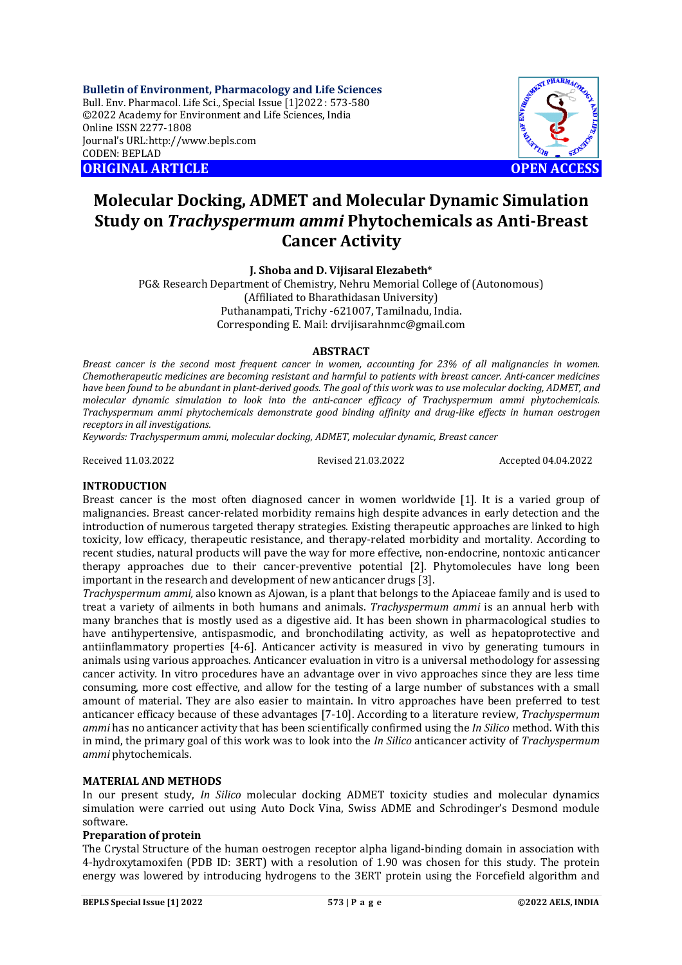**Bulletin of Environment, Pharmacology and Life Sciences** Bull. Env. Pharmacol. Life Sci., Special Issue [1]2022 : 573-580 ©2022 Academy for Environment and Life Sciences, India Online ISSN 2277-1808 Journal's URL:<http://www.bepls.com> CODEN: BEPLAD **ORIGINAL ARTICLE OPEN ACCESS** 



# **Molecular Docking, ADMET and Molecular Dynamic Simulation Study on** *Trachyspermum ammi* **Phytochemicals as Anti-Breast Cancer Activity**

**J. Shoba and D. Vijisaral Elezabeth**\*

PG& Research Department of Chemistry, Nehru Memorial College of (Autonomous) (Affiliated to Bharathidasan University) Puthanampati, Trichy -621007, Tamilnadu, India. Corresponding E. Mail: [drvijisarahnmc@gmail.com](mailto:drvijisarahnmc@gmail.com)

### **ABSTRACT**

*Breast cancer is the second most frequent cancer in women, accounting for 23% of all malignancies in women. Chemotherapeutic medicines are becoming resistant and harmful to patients with breast cancer. Anti-cancer medicines have been found to be abundant in plant-derived goods. The goal of this work was to use molecular docking, ADMET, and molecular dynamic simulation to look into the anti-cancer efficacy of Trachyspermum ammi phytochemicals. Trachyspermum ammi phytochemicals demonstrate good binding affinity and drug-like effects in human oestrogen receptors in all investigations.*

*Keywords: Trachyspermum ammi, molecular docking, ADMET, molecular dynamic, Breast cancer*

Received 11.03.2022 Revised 21.03.2022 Accepted 04.04.2022

## **INTRODUCTION**

Breast cancer is the most often diagnosed cancer in women worldwide [1]. It is a varied group of malignancies. Breast cancer-related morbidity remains high despite advances in early detection and the introduction of numerous targeted therapy strategies. Existing therapeutic approaches are linked to high toxicity, low efficacy, therapeutic resistance, and therapy-related morbidity and mortality. According to recent studies, natural products will pave the way for more effective, non-endocrine, nontoxic anticancer therapy approaches due to their cancer-preventive potential [2]. Phytomolecules have long been important in the research and development of new anticancer drugs [3].

*Trachyspermum ammi,* also known as Ajowan, is a plant that belongs to the Apiaceae family and is used to treat a variety of ailments in both humans and animals. *Trachyspermum ammi* is an annual herb with many branches that is mostly used as a digestive aid. It has been shown in pharmacological studies to have antihypertensive, antispasmodic, and bronchodilating activity, as well as hepatoprotective and antiinflammatory properties [4-6]. Anticancer activity is measured in vivo by generating tumours in animals using various approaches. Anticancer evaluation in vitro is a universal methodology for assessing cancer activity*.* In vitro procedures have an advantage over in vivo approaches since they are less time consuming, more cost effective, and allow for the testing of a large number of substances with a small amount of material. They are also easier to maintain. In vitro approaches have been preferred to test anticancer efficacy because of these advantages [7-10]. According to a literature review, *Trachyspermum ammi* has no anticancer activity that has been scientifically confirmed using the *In Silico* method. With this in mind, the primary goal of this work was to look into the *In Silico* anticancer activity of *Trachyspermum ammi* phytochemicals.

### **MATERIAL AND METHODS**

In our present study, *In Silico* molecular docking ADMET toxicity studies and molecular dynamics simulation were carried out using Auto Dock Vina, Swiss ADME and Schrodinger's Desmond module software.

### **Preparation of protein**

The Crystal Structure of the human oestrogen receptor alpha ligand-binding domain in association with 4-hydroxytamoxifen (PDB ID: 3ERT) with a resolution of 1.90 was chosen for this study. The protein energy was lowered by introducing hydrogens to the 3ERT protein using the Forcefield algorithm and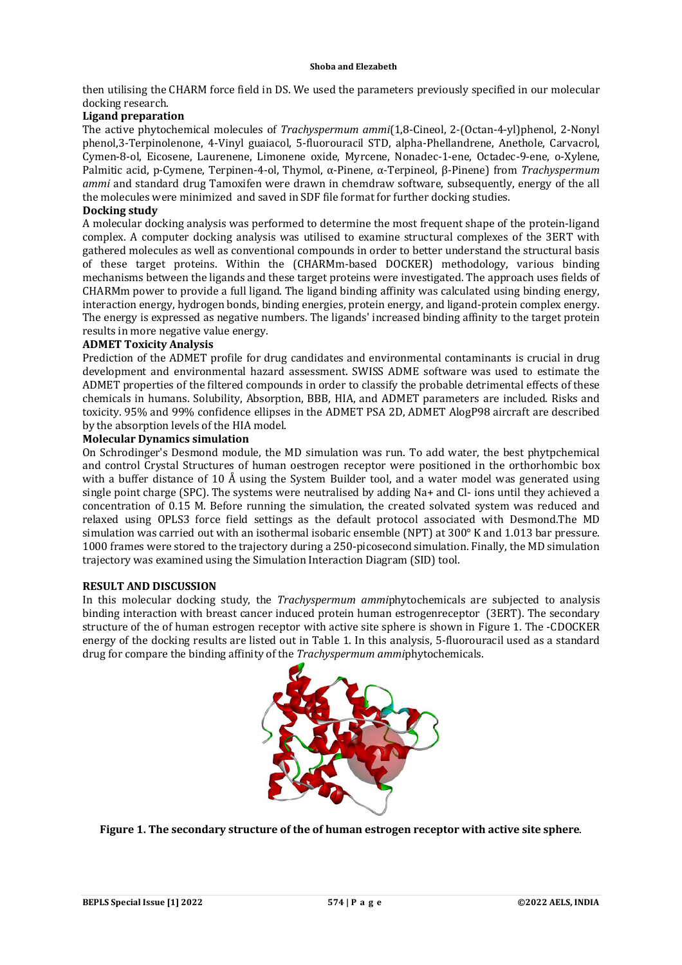then utilising the CHARM force field in DS. We used the parameters previously specified in our molecular docking research.

# **Ligand preparation**

The active phytochemical molecules of *Trachyspermum ammi*(1,8-Cineol, 2-(Octan-4-yl)phenol, 2-Nonyl phenol,3-Terpinolenone, 4-Vinyl guaiacol, 5-fluorouracil STD, alpha-Phellandrene, Anethole, Carvacrol, Cymen-8-ol, Eicosene, Laurenene, Limonene oxide, Myrcene, Nonadec-1-ene, Octadec-9-ene, o-Xylene, Palmitic acid, p-Cymene, Terpinen-4-ol, Thymol, α-Pinene, α-Terpineol, β-Pinene) from *Trachyspermum ammi* and standard drug Tamoxifen were drawn in chemdraw software, subsequently, energy of the all the molecules were minimized and saved in SDF file format for further docking studies.

### **Docking study**

A molecular docking analysis was performed to determine the most frequent shape of the protein-ligand complex. A computer docking analysis was utilised to examine structural complexes of the 3ERT with gathered molecules as well as conventional compounds in order to better understand the structural basis of these target proteins. Within the (CHARMm-based DOCKER) methodology, various binding mechanisms between the ligands and these target proteins were investigated. The approach uses fields of CHARMm power to provide a full ligand. The ligand binding affinity was calculated using binding energy, interaction energy, hydrogen bonds, binding energies, protein energy, and ligand-protein complex energy. The energy is expressed as negative numbers. The ligands' increased binding affinity to the target protein results in more negative value energy.

# **ADMET Toxicity Analysis**

Prediction of the ADMET profile for drug candidates and environmental contaminants is crucial in drug development and environmental hazard assessment. SWISS ADME software was used to estimate the ADMET properties of the filtered compounds in order to classify the probable detrimental effects of these chemicals in humans. Solubility, Absorption, BBB, HIA, and ADMET parameters are included. Risks and toxicity. 95% and 99% confidence ellipses in the ADMET PSA 2D, ADMET AlogP98 aircraft are described by the absorption levels of the HIA model.

# **Molecular Dynamics simulation**

On Schrodinger's Desmond module, the MD simulation was run. To add water, the best phytpchemical and control Crystal Structures of human oestrogen receptor were positioned in the orthorhombic box with a buffer distance of 10 Å using the System Builder tool, and a water model was generated using single point charge (SPC). The systems were neutralised by adding Na+ and Cl- ions until they achieved a concentration of 0.15 M. Before running the simulation, the created solvated system was reduced and relaxed using OPLS3 force field settings as the default protocol associated with Desmond.The MD simulation was carried out with an isothermal isobaric ensemble (NPT) at 300° K and 1.013 bar pressure. 1000 frames were stored to the trajectory during a 250-picosecond simulation. Finally, the MD simulation trajectory was examined using the Simulation Interaction Diagram (SID) tool.

# **RESULT AND DISCUSSION**

In this molecular docking study, the *Trachyspermum ammi*phytochemicals are subjected to analysis binding interaction with breast cancer induced protein human estrogenreceptor (3ERT). The secondary structure of the of human estrogen receptor with active site sphere is shown in Figure 1. The -CDOCKER energy of the docking results are listed out in Table 1. In this analysis, 5-fluorouracil used as a standard drug for compare the binding affinity of the *Trachyspermum ammi*phytochemicals.



**Figure 1. The secondary structure of the of human estrogen receptor with active site sphere**.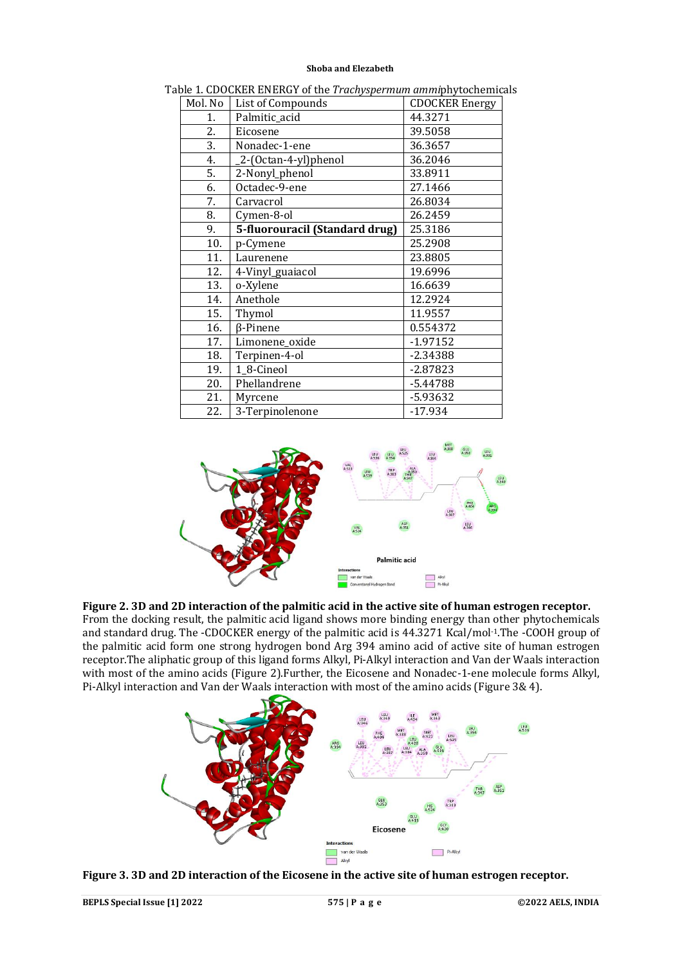| Mol. No | List of Compounds              | <b>CDOCKER Energy</b> |
|---------|--------------------------------|-----------------------|
| 1.      | Palmitic_acid                  | 44.3271               |
| 2.      | Eicosene                       | 39.5058               |
| 3.      | Nonadec-1-ene                  | 36.3657               |
| 4.      | _2-(Octan-4-yl)phenol          | 36.2046               |
| 5.      | 2-Nonyl_phenol                 | 33.8911               |
| 6.      | Octadec-9-ene                  | 27.1466               |
| 7.      | Carvacrol                      | 26.8034               |
| 8.      | Cymen-8-ol                     | 26.2459               |
| 9.      | 5-fluorouracil (Standard drug) | 25.3186               |
| 10.     | p-Cymene                       | 25.2908               |
| 11.     | Laurenene                      | 23.8805               |
| 12.     | 4-Vinyl_guaiacol               | 19.6996               |
| 13.     | o-Xylene                       | 16.6639               |
| 14.     | Anethole                       | 12.2924               |
| 15.     | Thymol                         | 11.9557               |
| 16.     | <b>ß-Pinene</b>                | 0.554372              |
| 17.     | Limonene_oxide                 | $-1.97152$            |
| 18.     | Terpinen-4-ol                  | $-2.34388$            |
| 19.     | 1_8-Cineol                     | $-2.87823$            |
| 20.     | Phellandrene                   | $-5.44788$            |
| 21.     | Myrcene                        | $-5.93632$            |
| 22.     | 3-Terpinolenone                | $-17.934$             |

Table 1. CDOCKER ENERGY of the *Trachyspermum ammi*phytochemicals



# **Figure 2. 3D and 2D interaction of the palmitic acid in the active site of human estrogen receptor.**

From the docking result, the palmitic acid ligand shows more binding energy than other phytochemicals and standard drug. The -CDOCKER energy of the palmitic acid is 44.3271 Kcal/mol-1.The -COOH group of the palmitic acid form one strong hydrogen bond Arg 394 amino acid of active site of human estrogen receptor.The aliphatic group of this ligand forms Alkyl, Pi-Alkyl interaction and Van der Waals interaction with most of the amino acids (Figure 2).Further, the Eicosene and Nonadec-1-ene molecule forms Alkyl, Pi-Alkyl interaction and Van der Waals interaction with most of the amino acids (Figure 3& 4).



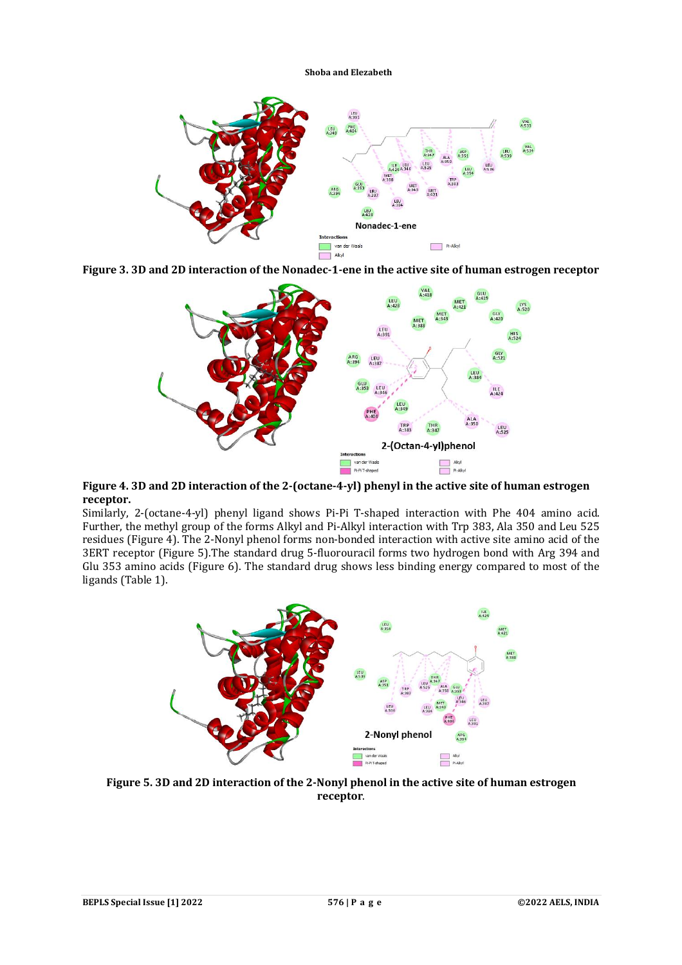

**Figure 3. 3D and 2D interaction of the Nonadec-1-ene in the active site of human estrogen receptor**



**Figure 4. 3D and 2D interaction of the 2-(octane-4-yl) phenyl in the active site of human estrogen receptor.**

Similarly, 2-(octane-4-yl) phenyl ligand shows Pi-Pi T-shaped interaction with Phe 404 amino acid. Further, the methyl group of the forms Alkyl and Pi-Alkyl interaction with Trp 383, Ala 350 and Leu 525 residues (Figure 4). The 2-Nonyl phenol forms non-bonded interaction with active site amino acid of the 3ERT receptor (Figure 5).The standard drug 5-fluorouracil forms two hydrogen bond with Arg 394 and Glu 353 amino acids (Figure 6). The standard drug shows less binding energy compared to most of the ligands (Table 1).



**Figure 5. 3D and 2D interaction of the 2-Nonyl phenol in the active site of human estrogen receptor**.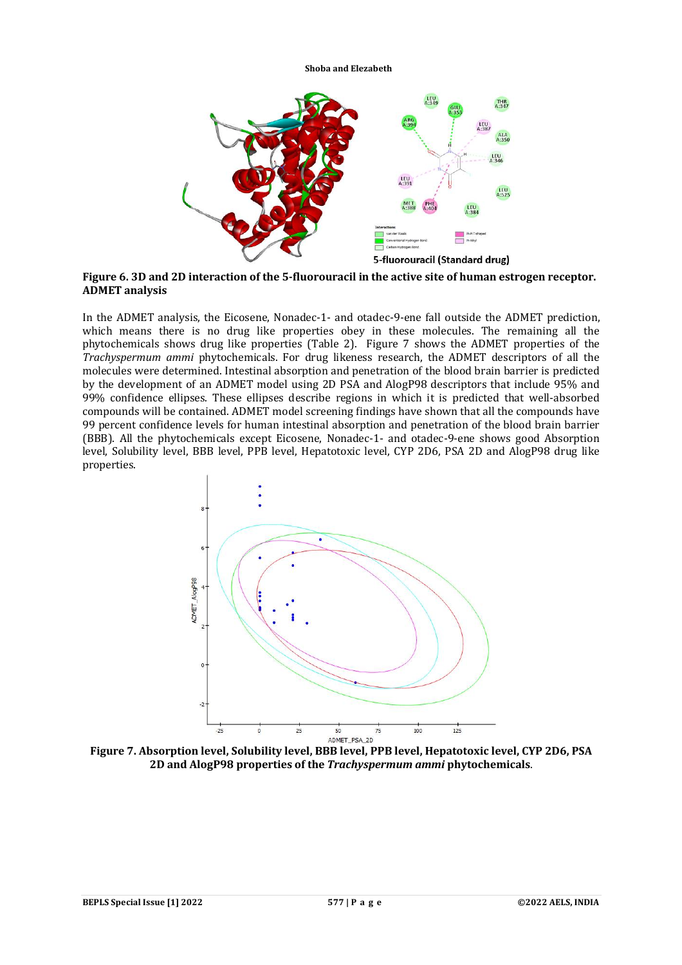

**Figure 6. 3D and 2D interaction of the 5-fluorouracil in the active site of human estrogen receptor. ADMET analysis**

In the ADMET analysis, the Eicosene, Nonadec-1- and otadec-9-ene fall outside the ADMET prediction, which means there is no drug like properties obey in these molecules. The remaining all the phytochemicals shows drug like properties (Table 2). Figure 7 shows the ADMET properties of the *Trachyspermum ammi* phytochemicals. For drug likeness research, the ADMET descriptors of all the molecules were determined. Intestinal absorption and penetration of the blood brain barrier is predicted by the development of an ADMET model using 2D PSA and AlogP98 descriptors that include 95% and 99% confidence ellipses. These ellipses describe regions in which it is predicted that well-absorbed compounds will be contained. ADMET model screening findings have shown that all the compounds have 99 percent confidence levels for human intestinal absorption and penetration of the blood brain barrier (BBB). All the phytochemicals except Eicosene, Nonadec-1- and otadec-9-ene shows good Absorption level, Solubility level, BBB level, PPB level, Hepatotoxic level, CYP 2D6, PSA 2D and AlogP98 drug like properties.



**Figure 7. Absorption level, Solubility level, BBB level, PPB level, Hepatotoxic level, CYP 2D6, PSA 2D and AlogP98 properties of the** *Trachyspermum ammi* **phytochemicals**.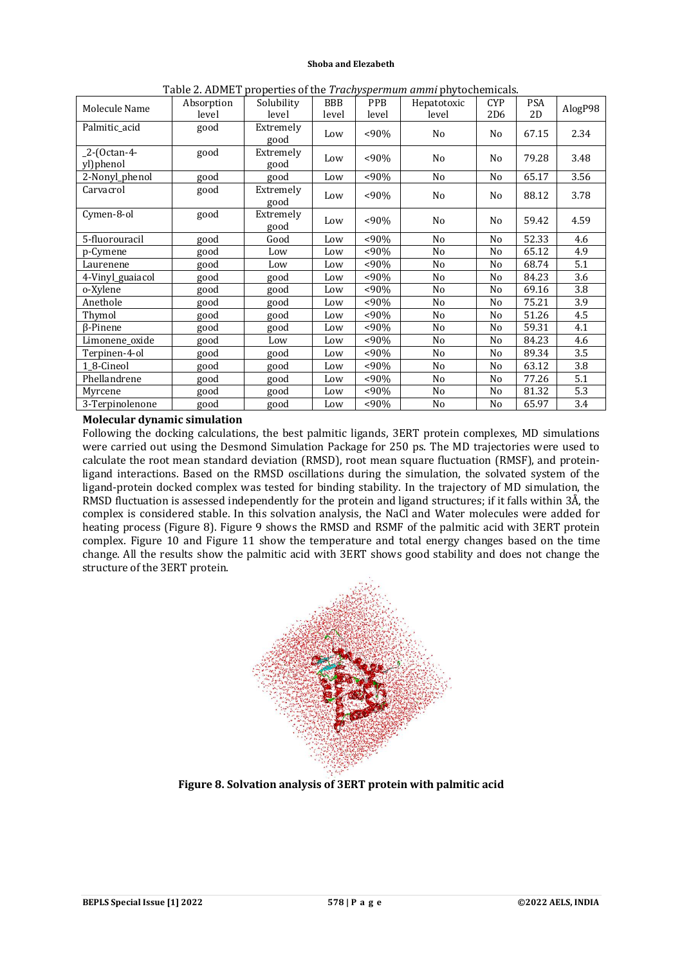| Molecule Name             | Absorption<br>level | Solubility<br>level | <b>BBB</b><br>level | <b>PPB</b><br>level | rapic 2. ADMLT properties of the <i>Frachyspermant</i> annih phytochemicals.<br>Hepatotoxic<br>level | <b>CYP</b><br>2D <sub>6</sub> | <b>PSA</b><br>2D | AlogP98 |
|---------------------------|---------------------|---------------------|---------------------|---------------------|------------------------------------------------------------------------------------------------------|-------------------------------|------------------|---------|
| Palmitic_acid             | good                | Extremely<br>good   | Low                 | $<90\%$             | No                                                                                                   | N <sub>0</sub>                | 67.15            | 2.34    |
| _2-(0ctan-4-<br>yl)phenol | good                | Extremely<br>good   | Low                 | $<90\%$             | No                                                                                                   | No                            | 79.28            | 3.48    |
| 2-Nonyl_phenol            | good                | good                | Low                 | $< 90\%$            | No                                                                                                   | N <sub>o</sub>                | 65.17            | 3.56    |
| Carvacrol                 | good                | Extremely<br>good   | Low                 | $<90\%$             | No                                                                                                   | N <sub>0</sub>                | 88.12            | 3.78    |
| Cymen-8-ol                | good                | Extremely<br>good   | Low                 | $< 90\%$            | No                                                                                                   | N <sub>0</sub>                | 59.42            | 4.59    |
| 5-fluorouracil            | good                | Good                | Low                 | $<90\%$             | No                                                                                                   | N <sub>o</sub>                | 52.33            | 4.6     |
| p-Cymene                  | good                | Low                 | Low                 | $< 90\%$            | No                                                                                                   | No                            | 65.12            | 4.9     |
| Laurenene                 | good                | Low                 | Low                 | $<90\%$             | No                                                                                                   | No                            | 68.74            | 5.1     |
| 4-Vinyl_guaiacol          | good                | good                | Low                 | $<90\%$             | No                                                                                                   | No                            | 84.23            | 3.6     |
| o-Xylene                  | good                | good                | Low                 | $< 90\%$            | No                                                                                                   | No                            | 69.16            | 3.8     |
| Anethole                  | good                | good                | Low                 | $< 90\%$            | No                                                                                                   | No                            | 75.21            | 3.9     |
| Thymol                    | good                | good                | Low                 | $< 90\%$            | No                                                                                                   | No                            | 51.26            | 4.5     |
| <b>B-Pinene</b>           | good                | good                | Low                 | $<90\%$             | No                                                                                                   | No                            | 59.31            | 4.1     |
| Limonene_oxide            | good                | Low                 | Low                 | $<90\%$             | No                                                                                                   | No                            | 84.23            | 4.6     |
| Terpinen-4-ol             | good                | good                | Low                 | $<90\%$             | No                                                                                                   | No                            | 89.34            | 3.5     |
| 1_8-Cineol                | good                | good                | Low                 | $< 90\%$            | No                                                                                                   | No                            | 63.12            | 3.8     |
| Phellandrene              | good                | good                | Low                 | $< 90\%$            | No                                                                                                   | No                            | 77.26            | 5.1     |
| Myrcene                   | good                | good                | Low                 | $< 90\%$            | No                                                                                                   | No                            | 81.32            | 5.3     |
| 3-Terpinolenone           | good                | good                | Low                 | $< 90\%$            | No                                                                                                   | No                            | 65.97            | 3.4     |

Table 2. ADMET properties of the *Trachyspermum ammi* phytochemicals.

# **Molecular dynamic simulation**

Following the docking calculations, the best palmitic ligands, 3ERT protein complexes, MD simulations were carried out using the Desmond Simulation Package for 250 ps. The MD trajectories were used to calculate the root mean standard deviation (RMSD), root mean square fluctuation (RMSF), and proteinligand interactions. Based on the RMSD oscillations during the simulation, the solvated system of the ligand-protein docked complex was tested for binding stability. In the trajectory of MD simulation, the RMSD fluctuation is assessed independently for the protein and ligand structures; if it falls within 3Å, the complex is considered stable. In this solvation analysis, the NaCl and Water molecules were added for heating process (Figure 8). Figure 9 shows the RMSD and RSMF of the palmitic acid with 3ERT protein complex. Figure 10 and Figure 11 show the temperature and total energy changes based on the time change. All the results show the palmitic acid with 3ERT shows good stability and does not change the structure of the 3ERT protein.



**Figure 8. Solvation analysis of 3ERT protein with palmitic acid**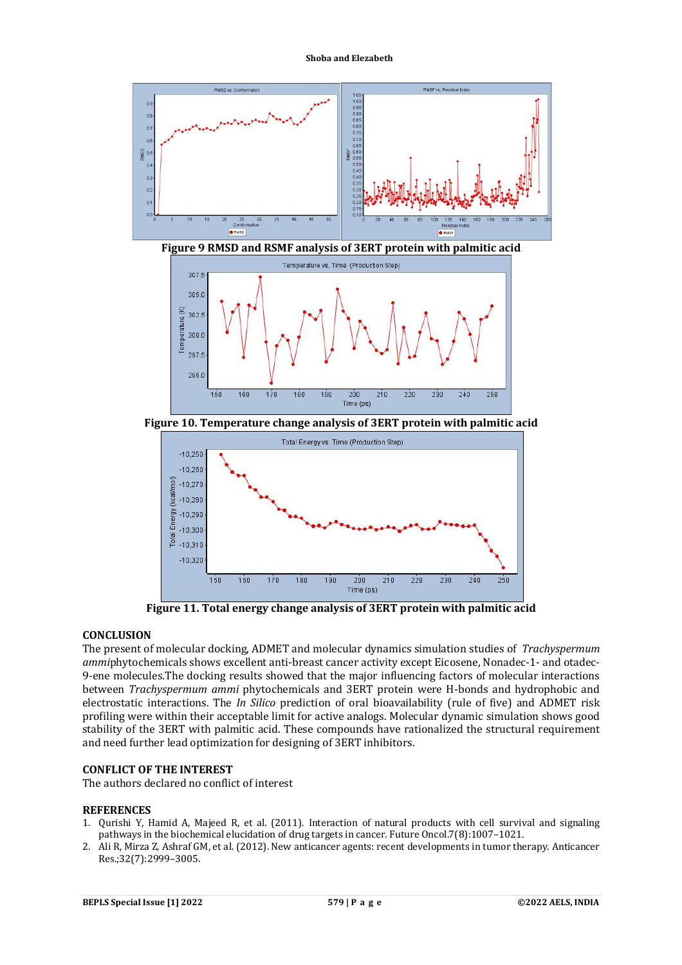

**Figure 9 RMSD and RSMF analysis of 3ERT protein with palmitic acid**



**Figure 10. Temperature change analysis of 3ERT protein with palmitic acid**



**Figure 11. Total energy change analysis of 3ERT protein with palmitic acid**

### **CONCLUSION**

The present of molecular docking, ADMET and molecular dynamics simulation studies of *Trachyspermum ammi*phytochemicals shows excellent anti-breast cancer activity except Eicosene, Nonadec-1- and otadec-9-ene molecules.The docking results showed that the major influencing factors of molecular interactions between *Trachyspermum ammi* phytochemicals and 3ERT protein were H-bonds and hydrophobic and electrostatic interactions. The *In Silico* prediction of oral bioavailability (rule of five) and ADMET risk profiling were within their acceptable limit for active analogs. Molecular dynamic simulation shows good stability of the 3ERT with palmitic acid. These compounds have rationalized the structural requirement and need further lead optimization for designing of 3ERT inhibitors.

# **CONFLICT OF THE INTEREST**

The authors declared no conflict of interest

#### **REFERENCES**

- 1. Qurishi Y, Hamid A, Majeed R, et al. (2011). Interaction of natural products with cell survival and signaling pathways in the biochemical elucidation of drug targets in cancer. Future Oncol.7(8):1007–1021.
- 2. Ali R, Mirza Z, Ashraf GM, et al. (2012). New anticancer agents: recent developments in tumor therapy. Anticancer Res.;32(7):2999–3005.